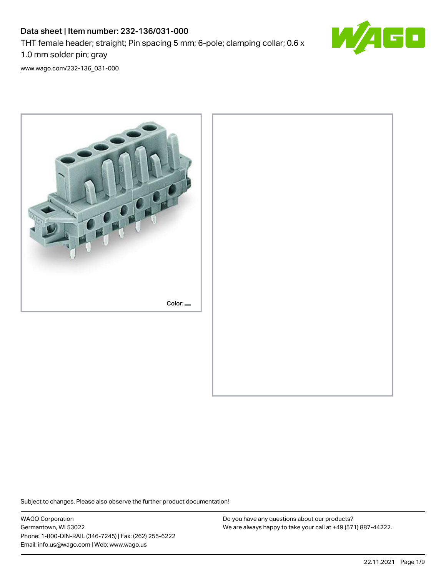# Data sheet | Item number: 232-136/031-000 THT female header; straight; Pin spacing 5 mm; 6-pole; clamping collar; 0.6 x 1.0 mm solder pin; gray



[www.wago.com/232-136\\_031-000](http://www.wago.com/232-136_031-000)



Subject to changes. Please also observe the further product documentation!

WAGO Corporation Germantown, WI 53022 Phone: 1-800-DIN-RAIL (346-7245) | Fax: (262) 255-6222 Email: info.us@wago.com | Web: www.wago.us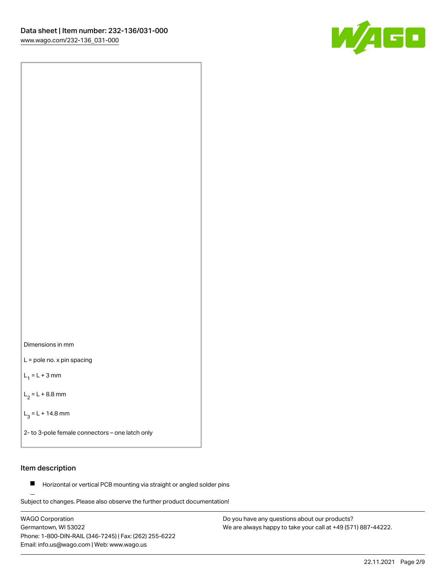



L = pole no. x pin spacing

 $L_1 = L + 3$  mm

 $L_2 = L + 8.8$  mm

 $L_3 = L + 14.8$  mm

2- to 3-pole female connectors – one latch only

#### Item description

**Horizontal or vertical PCB mounting via straight or angled solder pins** 

Subject to changes. Please also observe the further product documentation! For board-to-board and board-to-wire connections

WAGO Corporation Germantown, WI 53022 Phone: 1-800-DIN-RAIL (346-7245) | Fax: (262) 255-6222 Email: info.us@wago.com | Web: www.wago.us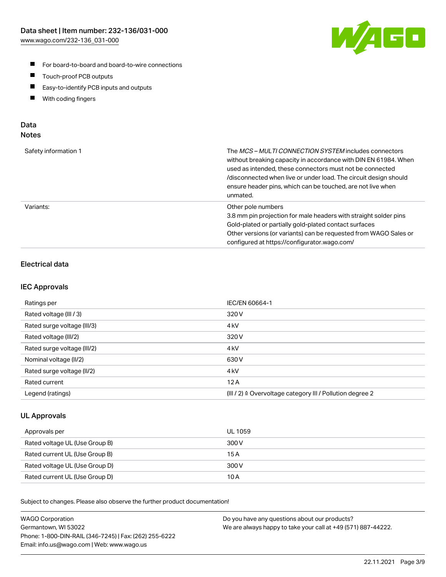

- For board-to-board and board-to-wire connections
- $\blacksquare$ Touch-proof PCB outputs
- $\blacksquare$ Easy-to-identify PCB inputs and outputs
- $\blacksquare$ With coding fingers

#### Data **Notes**

| Safety information 1 | The <i>MCS – MULTI CONNECTION SYSTEM</i> includes connectors<br>without breaking capacity in accordance with DIN EN 61984. When<br>used as intended, these connectors must not be connected<br>/disconnected when live or under load. The circuit design should<br>ensure header pins, which can be touched, are not live when<br>unmated. |
|----------------------|--------------------------------------------------------------------------------------------------------------------------------------------------------------------------------------------------------------------------------------------------------------------------------------------------------------------------------------------|
| Variants:            | Other pole numbers<br>3.8 mm pin projection for male headers with straight solder pins<br>Gold-plated or partially gold-plated contact surfaces<br>Other versions (or variants) can be requested from WAGO Sales or<br>configured at https://configurator.wago.com/                                                                        |

# Electrical data

#### IEC Approvals

| Ratings per                 | IEC/EN 60664-1                                                        |
|-----------------------------|-----------------------------------------------------------------------|
| Rated voltage (III / 3)     | 320 V                                                                 |
| Rated surge voltage (III/3) | 4 <sub>k</sub> V                                                      |
| Rated voltage (III/2)       | 320 V                                                                 |
| Rated surge voltage (III/2) | 4 <sub>k</sub> V                                                      |
| Nominal voltage (II/2)      | 630 V                                                                 |
| Rated surge voltage (II/2)  | 4 <sub>kV</sub>                                                       |
| Rated current               | 12A                                                                   |
| Legend (ratings)            | $(III / 2)$ $\triangle$ Overvoltage category III / Pollution degree 2 |

#### UL Approvals

| Approvals per                  | UL 1059 |
|--------------------------------|---------|
| Rated voltage UL (Use Group B) | 300 V   |
| Rated current UL (Use Group B) | 15 A    |
| Rated voltage UL (Use Group D) | 300 V   |
| Rated current UL (Use Group D) | 10 A    |

Subject to changes. Please also observe the further product documentation!

| <b>WAGO Corporation</b>                                | Do you have any questions about our products?                 |
|--------------------------------------------------------|---------------------------------------------------------------|
| Germantown, WI 53022                                   | We are always happy to take your call at +49 (571) 887-44222. |
| Phone: 1-800-DIN-RAIL (346-7245)   Fax: (262) 255-6222 |                                                               |
| Email: info.us@wago.com   Web: www.wago.us             |                                                               |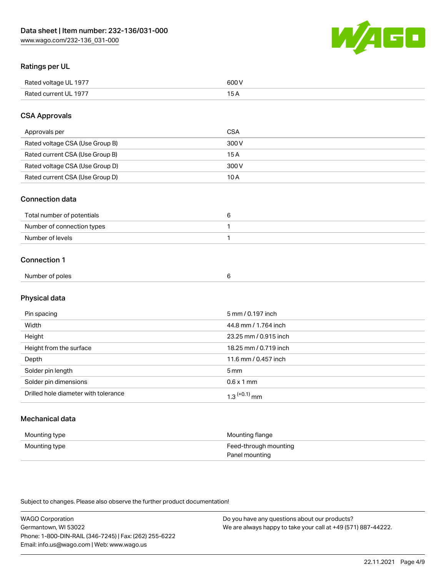

#### Ratings per UL

| Rated voltage UL 1977 | SOO V                                           |
|-----------------------|-------------------------------------------------|
| Rated<br>HI 197.      | --<br>$\sim$ $\sim$ $\sim$ $\sim$ $\sim$ $\sim$ |

#### CSA Approvals

| Approvals per                   | CSA   |
|---------------------------------|-------|
| Rated voltage CSA (Use Group B) | 300 V |
| Rated current CSA (Use Group B) | 15 A  |
| Rated voltage CSA (Use Group D) | 300 V |
| Rated current CSA (Use Group D) | 10 A  |

#### Connection data

| Total number of potentials |  |
|----------------------------|--|
| Number of connection types |  |
| Number of levels           |  |

#### Connection 1

| Number of poles |  |
|-----------------|--|
|                 |  |

# Physical data

| Pin spacing                          | 5 mm / 0.197 inch     |
|--------------------------------------|-----------------------|
| Width                                | 44.8 mm / 1.764 inch  |
| Height                               | 23.25 mm / 0.915 inch |
| Height from the surface              | 18.25 mm / 0.719 inch |
| Depth                                | 11.6 mm / 0.457 inch  |
| Solder pin length                    | 5 <sub>mm</sub>       |
| Solder pin dimensions                | $0.6 \times 1$ mm     |
| Drilled hole diameter with tolerance | $1.3$ $(+0.1)$ mm     |

# Mechanical data

| Mounting type | Mounting flange                         |
|---------------|-----------------------------------------|
| Mounting type | Feed-through mounting<br>Panel mounting |

Subject to changes. Please also observe the further product documentation!

| <b>WAGO Corporation</b>                                | Do you have any questions about our products?                 |
|--------------------------------------------------------|---------------------------------------------------------------|
| Germantown, WI 53022                                   | We are always happy to take your call at +49 (571) 887-44222. |
| Phone: 1-800-DIN-RAIL (346-7245)   Fax: (262) 255-6222 |                                                               |
| Email: info.us@wago.com   Web: www.wago.us             |                                                               |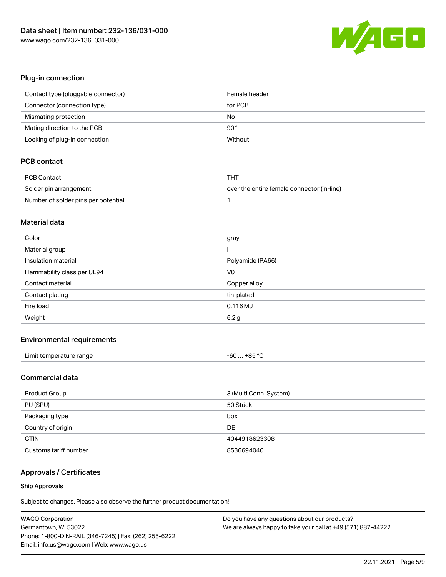

#### Plug-in connection

| Contact type (pluggable connector) | Female header |
|------------------------------------|---------------|
| Connector (connection type)        | for PCB       |
| Mismating protection               | No            |
| Mating direction to the PCB        | $90^{\circ}$  |
| Locking of plug-in connection      | Without       |

## PCB contact

| <b>PCB Contact</b>                  | THT                                        |
|-------------------------------------|--------------------------------------------|
| Solder pin arrangement              | over the entire female connector (in-line) |
| Number of solder pins per potential |                                            |

#### Material data

| Color                       | gray             |
|-----------------------------|------------------|
| Material group              |                  |
| Insulation material         | Polyamide (PA66) |
| Flammability class per UL94 | V <sub>0</sub>   |
| Contact material            | Copper alloy     |
|                             |                  |
| Contact plating             | tin-plated       |
| Fire load                   | 0.116 MJ         |

#### Environmental requirements

| Limit temperature range | $-60+85 °C$ |
|-------------------------|-------------|
|-------------------------|-------------|

#### Commercial data

| Product Group         | 3 (Multi Conn. System) |
|-----------------------|------------------------|
| PU (SPU)              | 50 Stück               |
| Packaging type        | box                    |
| Country of origin     | DE                     |
| <b>GTIN</b>           | 4044918623308          |
| Customs tariff number | 8536694040             |

# Approvals / Certificates

#### Ship Approvals

Subject to changes. Please also observe the further product documentation!

| <b>WAGO Corporation</b>                                | Do you have any questions about our products?                 |
|--------------------------------------------------------|---------------------------------------------------------------|
| Germantown, WI 53022                                   | We are always happy to take your call at +49 (571) 887-44222. |
| Phone: 1-800-DIN-RAIL (346-7245)   Fax: (262) 255-6222 |                                                               |
| Email: info.us@wago.com   Web: www.wago.us             |                                                               |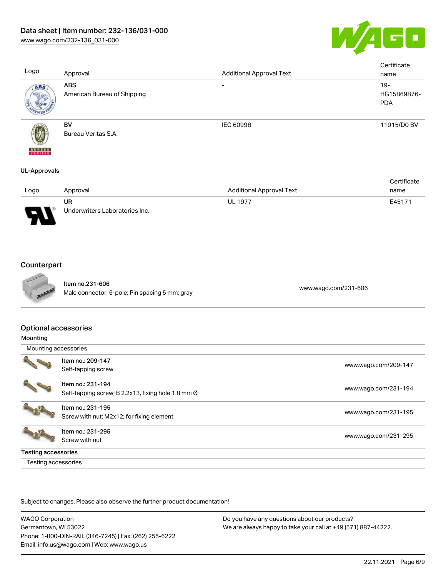

| Logo                     | Approval                                  | <b>Additional Approval Text</b> | Certificate<br>name                 |
|--------------------------|-------------------------------------------|---------------------------------|-------------------------------------|
| ABS.                     | <b>ABS</b><br>American Bureau of Shipping | -                               | $19 -$<br>HG15869876-<br><b>PDA</b> |
| <b>BUREAU</b><br>VERITAS | BV<br>Bureau Veritas S.A.                 | <b>IEC 60998</b>                | 11915/D0 BV                         |
| <b>UL-Approvals</b>      |                                           |                                 |                                     |

|                               |                                |                                 | Certificate |
|-------------------------------|--------------------------------|---------------------------------|-------------|
| Logo                          | Approval                       | <b>Additional Approval Text</b> | name        |
|                               | UR                             | <b>UL 1977</b>                  | E45171      |
| J<br>$\overline{\phantom{a}}$ | Underwriters Laboratories Inc. |                                 |             |

# **Counterpart**



Item no.231-606 nem no.251-606<br>Male connector; 6-pole; Pin spacing 5 mm; gray [www.wago.com/231-606](https://www.wago.com/231-606)

#### Optional accessories

| Mounting                   |                                                    |                      |
|----------------------------|----------------------------------------------------|----------------------|
| Mounting accessories       |                                                    |                      |
|                            | Item no.: 209-147                                  | www.wago.com/209-147 |
|                            | Self-tapping screw                                 |                      |
|                            | Item no.: 231-194                                  |                      |
|                            | Self-tapping screw; B 2.2x13, fixing hole 1.8 mm Ø | www.wago.com/231-194 |
|                            | Item no.: 231-195                                  |                      |
|                            | Screw with nut; M2x12; for fixing element          | www.wago.com/231-195 |
|                            | Item no.: 231-295                                  |                      |
|                            | Screw with nut                                     | www.wago.com/231-295 |
| <b>Testing accessories</b> |                                                    |                      |
| Testing accessories        |                                                    |                      |

Subject to changes. Please also observe the further product documentation!

WAGO Corporation Germantown, WI 53022 Phone: 1-800-DIN-RAIL (346-7245) | Fax: (262) 255-6222 Email: info.us@wago.com | Web: www.wago.us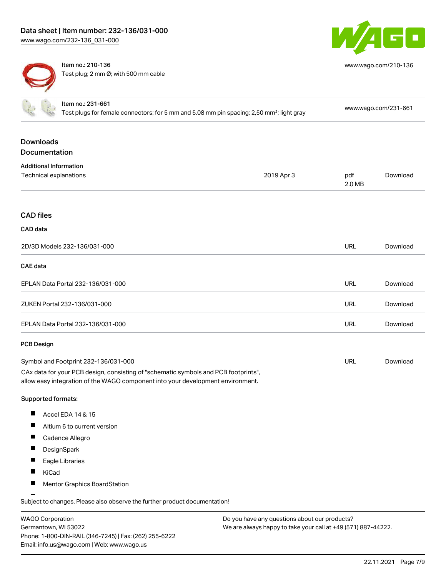

[www.wago.com/210-136](http://www.wago.com/210-136)

Item no.: 210-136 Test plug; 2 mm Ø; with 500 mm cable

| Item no.: 231-661<br>Test plugs for female connectors; for 5 mm and 5.08 mm pin spacing; 2,50 mm <sup>2</sup> ; light gray                                                                                     |                                                                            |            | www.wago.com/231-661 |          |
|----------------------------------------------------------------------------------------------------------------------------------------------------------------------------------------------------------------|----------------------------------------------------------------------------|------------|----------------------|----------|
| <b>Downloads</b><br>Documentation                                                                                                                                                                              |                                                                            |            |                      |          |
| <b>Additional Information</b><br>Technical explanations                                                                                                                                                        |                                                                            | 2019 Apr 3 | pdf<br>2.0 MB        | Download |
| <b>CAD files</b>                                                                                                                                                                                               |                                                                            |            |                      |          |
| CAD data                                                                                                                                                                                                       |                                                                            |            |                      |          |
|                                                                                                                                                                                                                | 2D/3D Models 232-136/031-000                                               |            | <b>URL</b>           | Download |
| <b>CAE</b> data                                                                                                                                                                                                |                                                                            |            |                      |          |
|                                                                                                                                                                                                                | EPLAN Data Portal 232-136/031-000                                          |            | <b>URL</b>           | Download |
|                                                                                                                                                                                                                | ZUKEN Portal 232-136/031-000                                               |            | <b>URL</b>           | Download |
|                                                                                                                                                                                                                | EPLAN Data Portal 232-136/031-000                                          |            | <b>URL</b>           | Download |
| <b>PCB Design</b>                                                                                                                                                                                              |                                                                            |            |                      |          |
| Symbol and Footprint 232-136/031-000<br>CAx data for your PCB design, consisting of "schematic symbols and PCB footprints",<br>allow easy integration of the WAGO component into your development environment. |                                                                            |            | <b>URL</b>           | Download |
| Supported formats:                                                                                                                                                                                             |                                                                            |            |                      |          |
| H.                                                                                                                                                                                                             | Accel EDA 14 & 15                                                          |            |                      |          |
|                                                                                                                                                                                                                | Altium 6 to current version                                                |            |                      |          |
| П                                                                                                                                                                                                              | Cadence Allegro                                                            |            |                      |          |
| DesignSpark                                                                                                                                                                                                    |                                                                            |            |                      |          |
| Eagle Libraries                                                                                                                                                                                                |                                                                            |            |                      |          |
| H.<br>KiCad                                                                                                                                                                                                    |                                                                            |            |                      |          |
|                                                                                                                                                                                                                | Mentor Graphics BoardStation                                               |            |                      |          |
|                                                                                                                                                                                                                | Subject to changes. Please also observe the further product documentation! |            |                      |          |

WAGO Corporation Germantown, WI 53022 Phone: 1-800-DIN-RAIL (346-7245) | Fax: (262) 255-6222 Email: info.us@wago.com | Web: www.wago.us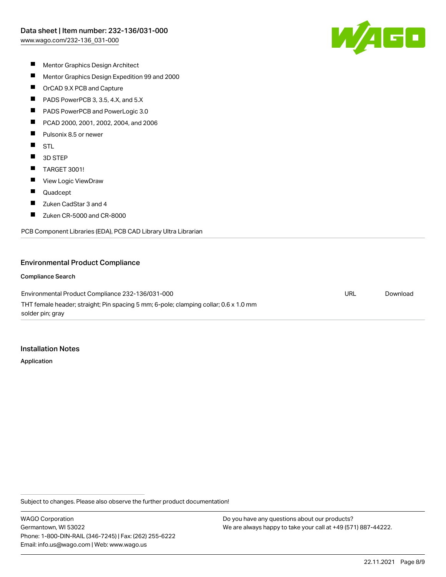

- $\blacksquare$ Mentor Graphics Design Architect
- $\blacksquare$ Mentor Graphics Design Expedition 99 and 2000
- $\blacksquare$ OrCAD 9.X PCB and Capture
- $\blacksquare$ PADS PowerPCB 3, 3.5, 4.X, and 5.X
- $\blacksquare$ PADS PowerPCB and PowerLogic 3.0
- $\blacksquare$ PCAD 2000, 2001, 2002, 2004, and 2006
- $\blacksquare$ Pulsonix 8.5 or newer
- $\blacksquare$ STL
- $\blacksquare$ 3D STEP
- $\blacksquare$ TARGET 3001!
- $\blacksquare$ View Logic ViewDraw
- $\blacksquare$ Quadcept
- $\blacksquare$ Zuken CadStar 3 and 4
- $\blacksquare$ Zuken CR-5000 and CR-8000

PCB Component Libraries (EDA), PCB CAD Library Ultra Librarian

#### Environmental Product Compliance

Compliance Search

Environmental Product Compliance 232-136/031-000 THT female header; straight; Pin spacing 5 mm; 6-pole; clamping collar; 0.6 x 1.0 mm solder pin; gray

Installation Notes

Application

Subject to changes. Please also observe the further product documentation!

WAGO Corporation Germantown, WI 53022 Phone: 1-800-DIN-RAIL (346-7245) | Fax: (262) 255-6222 Email: info.us@wago.com | Web: www.wago.us